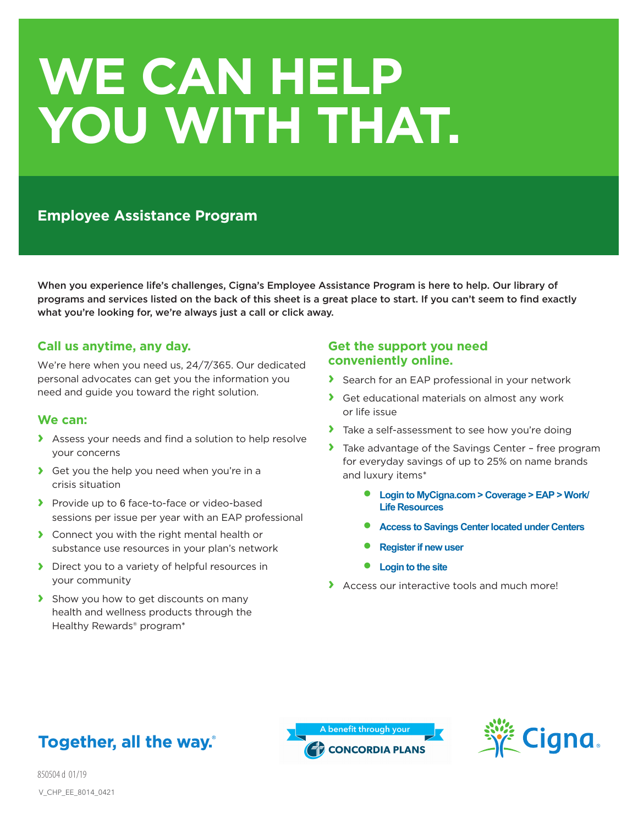# **WE CAN HELP YOU WITH THAT.**

# **Employee Assistance Program**

When you experience life's challenges, Cigna's Employee Assistance Program is here to help. Our library of programs and services listed on the back of this sheet is a great place to start. If you can't seem to find exactly what you're looking for, we're always just a call or click away.

### **Call us anytime, any day.**

We're here when you need us, 24/7/365. Our dedicated personal advocates can get you the information you need and guide you toward the right solution.

#### **We can:**

- **›** Assess your needs and find a solution to help resolve your concerns
- **›** Get you the help you need when you're in a crisis situation
- **›** Provide up to 6 face-to-face or video-based sessions per issue per year with an EAP professional
- **›** Connect you with the right mental health or substance use resources in your plan's network
- **›** Direct you to a variety of helpful resources in your community
- **›** Show you how to get discounts on many health and wellness products through the Healthy Rewards® program\*

## **Get the support you need conveniently online.**

- **›** Search for an EAP professional in your network
- **›** Get educational materials on almost any work or life issue
- **›** Take a self-assessment to see how you're doing
- **›** Take advantage of the Savings Center free program for everyday savings of up to 25% on name brands and luxury items\*
	- **Login to MyCigna.com > Coverage > EAP > Work/ Life Resources**
	- **Access to Savings Center located under Centers**
	- **Register if new user**
	- **Login to the site**
- **›** Access our interactive tools and much more!





850504 d 01/19 V\_CHP\_EE\_8014\_0421